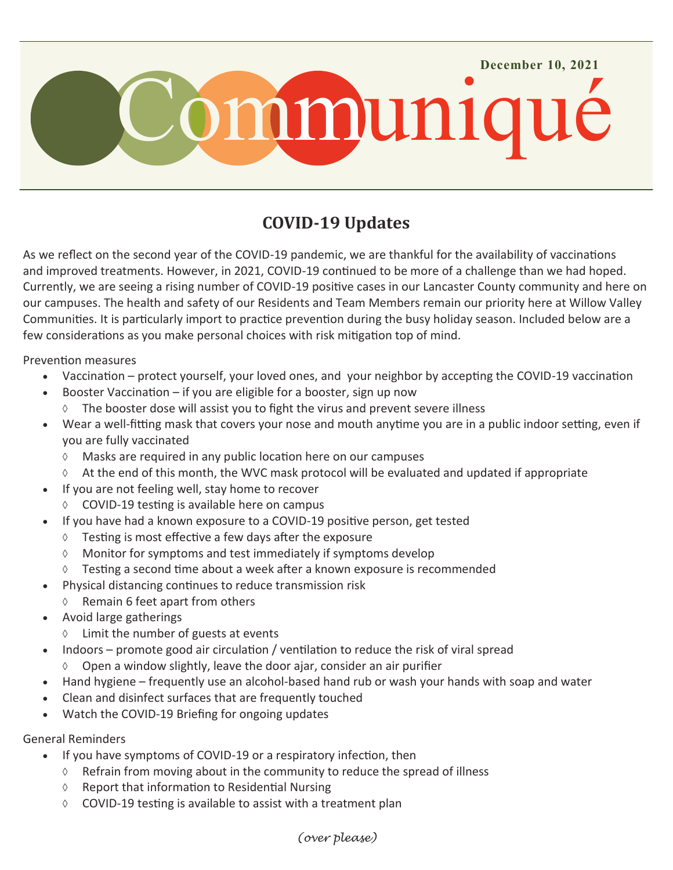

# **COVID-19 Updates**

As we reflect on the second year of the COVID-19 pandemic, we are thankful for the availability of vaccinations and improved treatments. However, in 2021, COVID-19 continued to be more of a challenge than we had hoped. Currently, we are seeing a rising number of COVID-19 positive cases in our Lancaster County community and here on our campuses. The health and safety of our Residents and Team Members remain our priority here at Willow Valley Communities. It is particularly import to practice prevention during the busy holiday season. Included below are a few considerations as you make personal choices with risk mitigation top of mind.

Prevention measures

- Vaccination protect yourself, your loved ones, and your neighbor by accepting the COVID-19 vaccination
- Booster Vaccination if you are eligible for a booster, sign up now
	- $\Diamond$  The booster dose will assist you to fight the virus and prevent severe illness
- Wear a well-fitting mask that covers your nose and mouth anytime you are in a public indoor setting, even if you are fully vaccinated
	- Masks are required in any public location here on our campuses
	- $\Diamond$  At the end of this month, the WVC mask protocol will be evaluated and updated if appropriate
- If you are not feeling well, stay home to recover
	- $\lozenge$  COVID-19 testing is available here on campus
- If you have had a known exposure to a COVID-19 positive person, get tested
	- $\Diamond$  Testing is most effective a few days after the exposure
	- $\lozenge$  Monitor for symptoms and test immediately if symptoms develop
	- $\Diamond$  Testing a second time about a week after a known exposure is recommended
- Physical distancing continues to reduce transmission risk
	- $\Diamond$  Remain 6 feet apart from others
- Avoid large gatherings
	- $\Diamond$  Limit the number of guests at events
	- Indoors promote good air circulation / ventilation to reduce the risk of viral spread
	- $\lozenge$  Open a window slightly, leave the door ajar, consider an air purifier
- Hand hygiene frequently use an alcohol-based hand rub or wash your hands with soap and water
- Clean and disinfect surfaces that are frequently touched
- Watch the COVID-19 Briefing for ongoing updates

#### General Reminders

- If you have symptoms of COVID-19 or a respiratory infection, then
	- $\Diamond$  Refrain from moving about in the community to reduce the spread of illness
	- $\Diamond$  Report that information to Residential Nursing
	- $\lozenge$  COVID-19 testing is available to assist with a treatment plan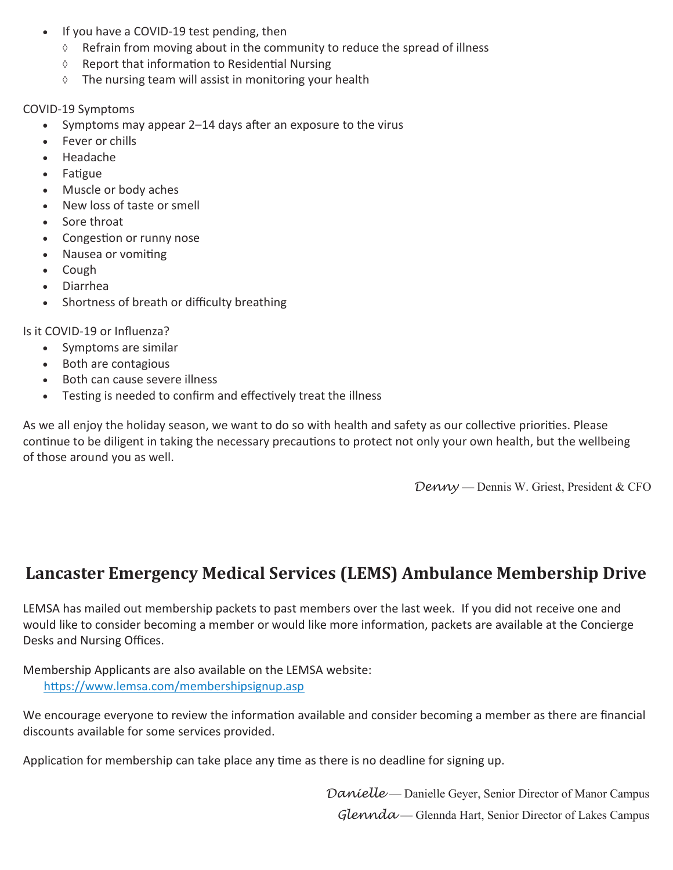- If you have a COVID-19 test pending, then
	- $\Diamond$  Refrain from moving about in the community to reduce the spread of illness
	- $\Diamond$  Report that information to Residential Nursing
	- $\Diamond$  The nursing team will assist in monitoring your health

#### COVID-19 Symptoms

- Symptoms may appear 2–14 days after an exposure to the virus
- Fever or chills
- Headache
- Fatigue
- Muscle or body aches
- New loss of taste or smell
- Sore throat
- Congestion or runny nose
- Nausea or vomiting
- Cough
- Diarrhea
- Shortness of breath or difficulty breathing

Is it COVID-19 or Influenza?

- Symptoms are similar
- Both are contagious
- Both can cause severe illness
- Testing is needed to confirm and effectively treat the illness

As we all enjoy the holiday season, we want to do so with health and safety as our collective priorities. Please continue to be diligent in taking the necessary precautions to protect not only your own health, but the wellbeing of those around you as well.

*Denny* — Dennis W. Griest, President & CFO

## **Lancaster Emergency Medical Services (LEMS) Ambulance Membership Drive**

LEMSA has mailed out membership packets to past members over the last week. If you did not receive one and would like to consider becoming a member or would like more information, packets are available at the Concierge Desks and Nursing Offices.

Membership Applicants are also available on the LEMSA website: [https://www.lemsa.com/membershipsignup.asp](https://protect-us.mimecast.com/s/eDOvCL92nRFKAmqfBY54d?domain=lemsa.com)

We encourage everyone to review the information available and consider becoming a member as there are financial discounts available for some services provided.

Application for membership can take place any time as there is no deadline for signing up.

*Danielle* — Danielle Geyer, Senior Director of Manor Campus *Glennda* — Glennda Hart, Senior Director of Lakes Campus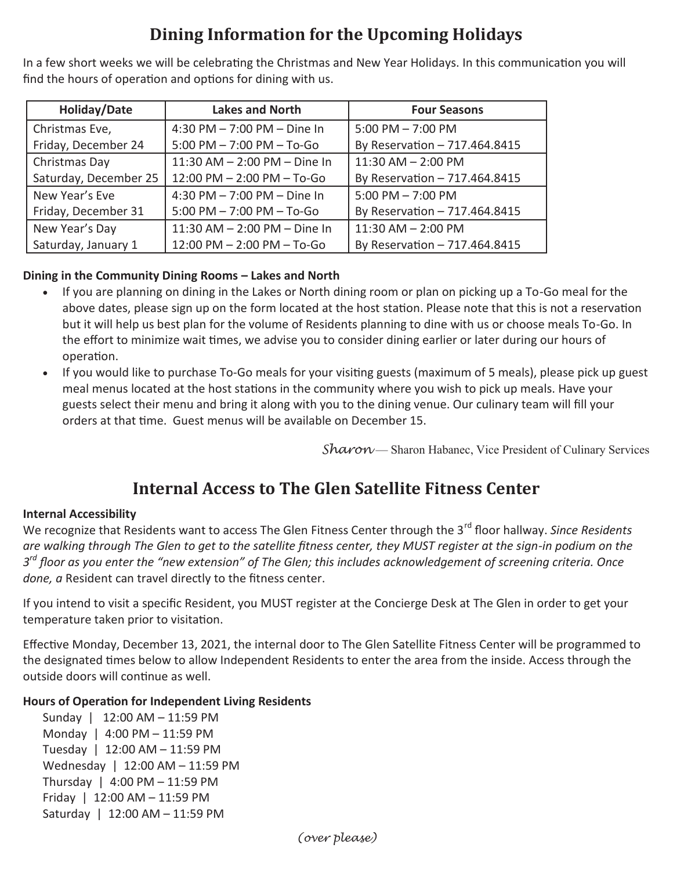# **Dining Information for the Upcoming Holidays**

In a few short weeks we will be celebrating the Christmas and New Year Holidays. In this communication you will find the hours of operation and options for dining with us.

| Holiday/Date          | <b>Lakes and North</b>           | <b>Four Seasons</b>           |
|-----------------------|----------------------------------|-------------------------------|
| Christmas Eve,        | 4:30 PM $- 7:00$ PM $- $ Dine In | $5:00$ PM $- 7:00$ PM         |
| Friday, December 24   | $5:00$ PM $- 7:00$ PM $-$ To-Go  | By Reservation - 717.464.8415 |
| Christmas Day         | 11:30 AM - 2:00 PM - Dine In     | $11:30$ AM $- 2:00$ PM        |
| Saturday, December 25 | 12:00 PM - 2:00 PM - To-Go       | By Reservation - 717.464.8415 |
| New Year's Eve        | 4:30 PM $- 7:00$ PM $- $ Dine In | $5:00$ PM $- 7:00$ PM         |
| Friday, December 31   | $5:00$ PM $- 7:00$ PM $-$ To-Go  | By Reservation - 717.464.8415 |
| New Year's Day        | 11:30 AM - 2:00 PM - Dine In     | $11:30$ AM $- 2:00$ PM        |
| Saturday, January 1   | 12:00 PM - 2:00 PM - To-Go       | By Reservation - 717.464.8415 |

## **Dining in the Community Dining Rooms – Lakes and North**

- If you are planning on dining in the Lakes or North dining room or plan on picking up a To-Go meal for the above dates, please sign up on the form located at the host station. Please note that this is not a reservation but it will help us best plan for the volume of Residents planning to dine with us or choose meals To-Go. In the effort to minimize wait times, we advise you to consider dining earlier or later during our hours of operation.
- If you would like to purchase To-Go meals for your visiting guests (maximum of 5 meals), please pick up guest meal menus located at the host stations in the community where you wish to pick up meals. Have your guests select their menu and bring it along with you to the dining venue. Our culinary team will fill your orders at that time. Guest menus will be available on December 15.

*Sharon* — Sharon Habanec, Vice President of Culinary Services

## **Internal Access to The Glen Satellite Fitness Center**

## **Internal Accessibility**

We recognize that Residents want to access The Glen Fitness Center through the 3<sup>rd</sup> floor hallway. *Since Residents are walking through The Glen to get to the satellite fitness center, they MUST register at the sign-in podium on the 3 rd floor as you enter the "new extension" of The Glen; this includes acknowledgement of screening criteria. Once done, a* Resident can travel directly to the fitness center.

If you intend to visit a specific Resident, you MUST register at the Concierge Desk at The Glen in order to get your temperature taken prior to visitation.

Effective Monday, December 13, 2021, the internal door to The Glen Satellite Fitness Center will be programmed to the designated times below to allow Independent Residents to enter the area from the inside. Access through the outside doors will continue as well.

### **Hours of Operation for Independent Living Residents**

Sunday | 12:00 AM – 11:59 PM Monday | 4:00 PM – 11:59 PM Tuesday | 12:00 AM – 11:59 PM Wednesday | 12:00 AM – 11:59 PM Thursday | 4:00 PM – 11:59 PM Friday | 12:00 AM – 11:59 PM Saturday | 12:00 AM – 11:59 PM